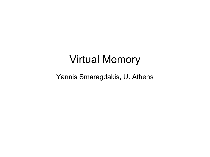#### Virtual Memory

Yannis Smaragdakis, U. Athens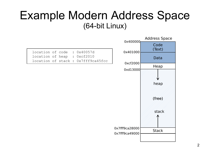#### Example Modern Address Space (64-bit Linux)

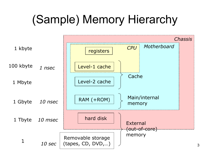## (Sample) Memory Hierarchy

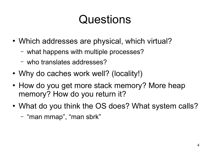## **Questions**

- Which addresses are physical, which virtual?
	- what happens with multiple processes?
	- who translates addresses?
- Why do caches work well? (locality!)
- How do you get more stack memory? More heap memory? How do you return it?
- What do you think the OS does? What system calls?
	- "man mmap", "man sbrk"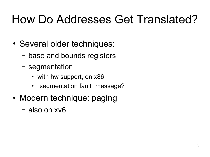## How Do Addresses Get Translated?

- Several older techniques:
	- base and bounds registers
	- segmentation
		- with hw support, on x86
		- "segmentation fault" message?
- Modern technique: paging
	- also on xv6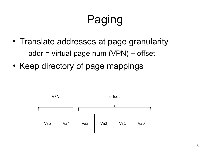# Paging

- Translate addresses at page granularity
	- addr = virtual page num (VPN) + offset
- Keep directory of page mappings

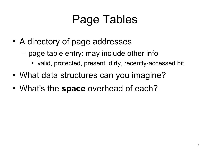## Page Tables

- A directory of page addresses
	- page table entry: may include other info
		- valid, protected, present, dirty, recently-accessed bit
- What data structures can you imagine?
- What's the **space** overhead of each?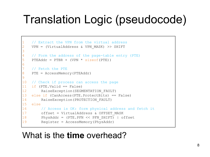## Translation Logic (pseudocode)

```
// Extract the VPN from the virtual address
    VPN = (VirtualAddress & VPNMASK) >> SHIFT3
   4 // Form the address of the page-table entry (PTE) 
   PTEAddr = PTBR + (VPN * sizeof(PTE))6
   // Fetch the PTE
8 PTE = AccessMemory(PTEAddr) 
9
10 // Check if process can access the page 
11 if (PTE.Valid == False) 
12 RaiseException(SEGMENTATION FAULT)
13 else if (CanAccess(PTE.ProtectBits) == False) 
14 RaiseException(PROTECTION FAULT)
15 else
16 // Access is OK: form physical address and fetch it 
17 offset = VirtualAddress & OFFSET_MASK 
18 PhysAddr = (PTE.PFN << PFN_SHIFT) | offset 
19 Register = AccessMemory(PhysAddr)
```
#### What is the **time** overhead?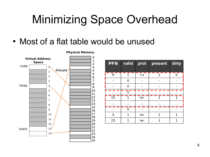## Minimizing Space Overhead

• Most of a flat table would be unused



**Physical Memory**

| ai Auuress<br>Space | $\alpha$<br>Allocate<br>$\mathbf{1}$ | T<br>$\overline{2}$<br>з<br>$\boldsymbol{4}$ | PFN                                                                                     | valid          | prot            | present              | dirty          |
|---------------------|--------------------------------------|----------------------------------------------|-----------------------------------------------------------------------------------------|----------------|-----------------|----------------------|----------------|
|                     | $\overline{2}$                       | 5<br>6                                       | 9                                                                                       |                | $r - x$         |                      | $\overline{0}$ |
|                     | 3                                    | 7                                            |                                                                                         | $\overline{0}$ |                 |                      |                |
|                     | 4.                                   | 8<br>9                                       |                                                                                         | $\overline{0}$ |                 |                      |                |
|                     | 5                                    | 10<br>11                                     |                                                                                         | 0              |                 |                      |                |
|                     | 6<br>7                               | 12                                           | $1\overline{5}$                                                                         |                | rw-             |                      |                |
|                     | 8                                    | 13<br>14                                     | $\begin{array}{cccccccccc} \bullet & \bullet & \bullet & \bullet & \bullet \end{array}$ | $\sim 100$     | $\sim$ 10 $\pm$ | $\sim$ $\sim$ $\sim$ | $\sim 100$     |
|                     | 9                                    | 15<br>16                                     |                                                                                         | 0              |                 |                      |                |
|                     | 10                                   | 17<br>18                                     | 3                                                                                       | 1              | rw-             | 1                    |                |
|                     | 11                                   | 19                                           | 23                                                                                      | 1              | rw-             | 1                    |                |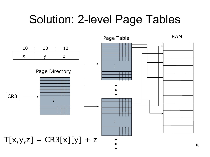#### Solution: 2-level Page Tables



10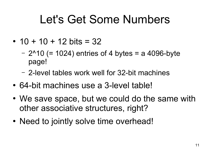#### Let's Get Some Numbers

- $\cdot$  10 + 10 + 12 bits = 32
	- $2^{n}10$  (= 1024) entries of 4 bytes = a 4096-byte page!
	- 2-level tables work well for 32-bit machines
- 64-bit machines use a 3-level table!
- We save space, but we could do the same with other associative structures, right?
- Need to jointly solve time overhead!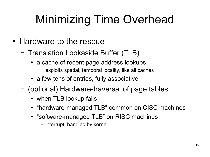# Minimizing Time Overhead

- Hardware to the rescue
	- Translation Lookaside Buffer (TLB)
		- a cache of recent page address lookups
			- exploits spatial, temporal locality, like all caches
		- a few tens of entries, fully associative
	- (optional) Hardware-traversal of page tables
		- when TLB lookup fails
		- "hardware-managed TLB" common on CISC machines
		- "software-managed TLB" on RISC machines
			- interrupt, handled by kernel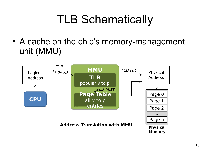## TLB Schematically

• A cache on the chip's memory-management unit (MMU)

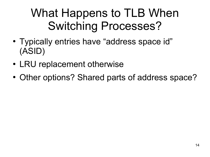## What Happens to TLB When Switching Processes?

- Typically entries have "address space id" (ASID)
- LRU replacement otherwise
- Other options? Shared parts of address space?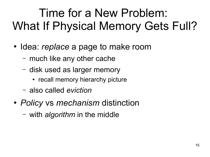## Time for a New Problem: What If Physical Memory Gets Full?

- Idea: *replace* a page to make room
	- much like any other cache
	- disk used as larger memory
		- recall memory hierarchy picture
	- also called *eviction*
- *Policy* vs *mechanism* distinction
	- with *algorithm* in the middle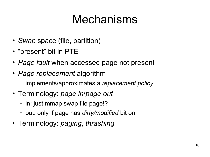## Mechanisms

- *Swap* space (file, partition)
- "present" bit in PTE
- Page fault when accessed page not present
- *Page replacement* algorithm
	- implements/approximates a *replacement policy*
- Terminology: *page in*/*page out*
	- in: just mmap swap file page!?
	- out: only if page has *dirty/modified* bit on
- Terminology: *paging*, *thrashing*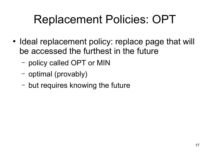## Replacement Policies: OPT

- Ideal replacement policy: replace page that will be accessed the furthest in the future
	- policy called OPT or MIN
	- optimal (provably)
	- but requires knowing the future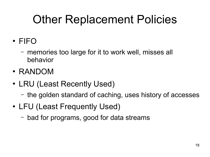## Other Replacement Policies

- FIFO
	- memories too large for it to work well, misses all behavior
- RANDOM
- LRU (Least Recently Used)
	- the golden standard of caching, uses history of accesses
- LFU (Least Frequently Used)
	- bad for programs, good for data streams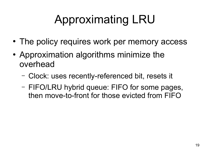# Approximating LRU

- The policy requires work per memory access
- Approximation algorithms minimize the overhead
	- Clock: uses recently-referenced bit, resets it
	- FIFO/LRU hybrid queue: FIFO for some pages, then move-to-front for those evicted from FIFO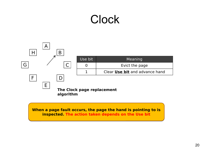#### **Clock**



**When a page fault occurs, the page the hand is pointing to is When a page fault occurs, the page the hand is pointing to is inspected. The action taken depends on the Use bit inspected. The action taken depends on the Use bit**